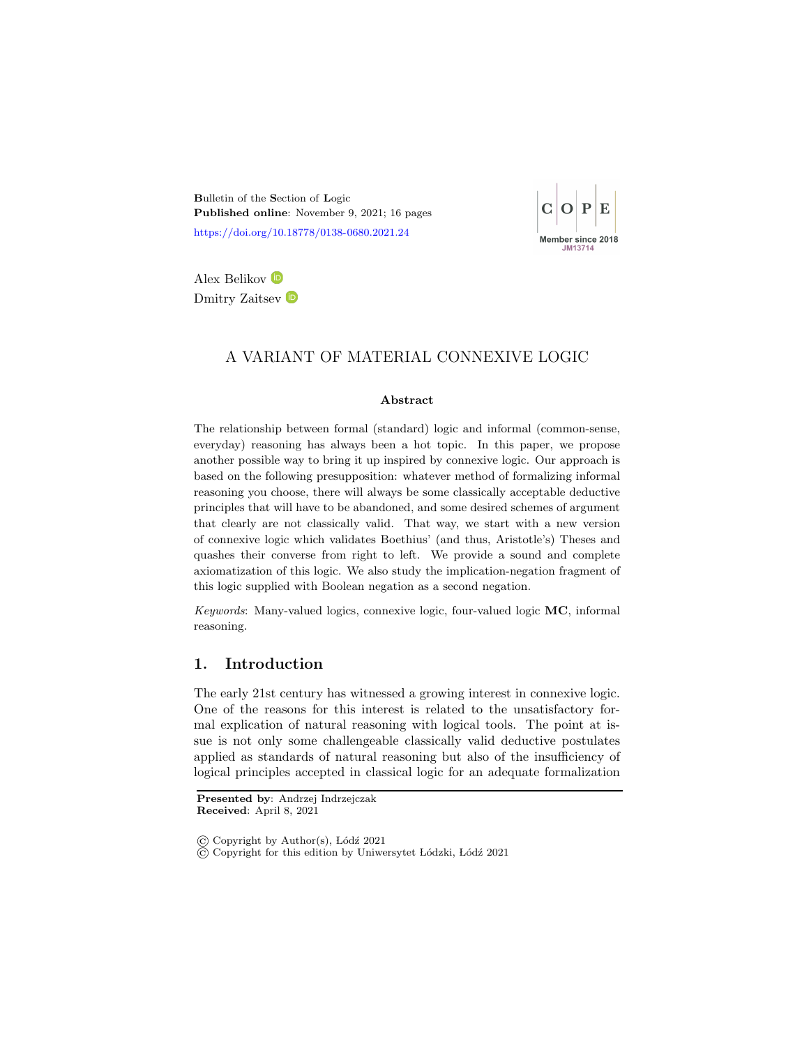<span id="page-0-0"></span>Bulletin of the Section of Logic Published online: November 9, 2021; 16 pages <https://doi.org/10.18778/0138-0680.2021.24>



Alex Belikov Dmitry Zaitsev  $\bullet$ 

# A VARIANT OF MATERIAL CONNEXIVE LOGIC

#### Abstract

The relationship between formal (standard) logic and informal (common-sense, everyday) reasoning has always been a hot topic. In this paper, we propose another possible way to bring it up inspired by connexive logic. Our approach is based on the following presupposition: whatever method of formalizing informal reasoning you choose, there will always be some classically acceptable deductive principles that will have to be abandoned, and some desired schemes of argument that clearly are not classically valid. That way, we start with a new version of connexive logic which validates Boethius' (and thus, Aristotle's) Theses and quashes their converse from right to left. We provide a sound and complete axiomatization of this logic. We also study the implication-negation fragment of this logic supplied with Boolean negation as a second negation.

Keywords: Many-valued logics, connexive logic, four-valued logic MC, informal reasoning.

## 1. Introduction

The early 21st century has witnessed a growing interest in connexive logic. One of the reasons for this interest is related to the unsatisfactory formal explication of natural reasoning with logical tools. The point at issue is not only some challengeable classically valid deductive postulates applied as standards of natural reasoning but also of the insufficiency of logical principles accepted in classical logic for an adequate formalization

Presented by: Andrzej Indrzejczak Received: April 8, 2021

 $\overline{c}$ ) Copyright for this edition by Uniwersytet Lódzki, Lódź 2021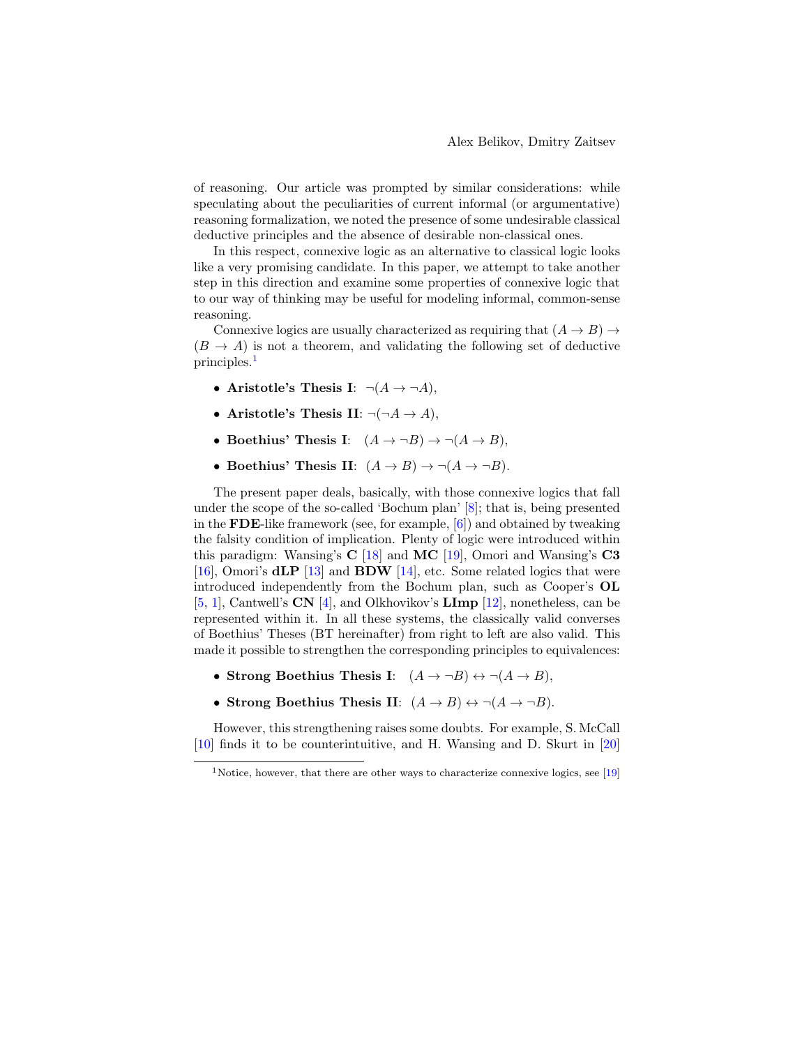of reasoning. Our article was prompted by similar considerations: while speculating about the peculiarities of current informal (or argumentative) reasoning formalization, we noted the presence of some undesirable classical deductive principles and the absence of desirable non-classical ones.

In this respect, connexive logic as an alternative to classical logic looks like a very promising candidate. In this paper, we attempt to take another step in this direction and examine some properties of connexive logic that to our way of thinking may be useful for modeling informal, common-sense reasoning.

Connexive logics are usually characterized as requiring that  $(A \rightarrow B) \rightarrow$  $(B \to A)$  is not a theorem, and validating the following set of deductive principles.<sup>[1](#page-0-0)</sup>

- Aristotle's Thesis I:  $\neg(A \rightarrow \neg A)$ ,
- Aristotle's Thesis II:  $\neg(\neg A \rightarrow A)$ ,
- Boethius' Thesis I:  $(A \rightarrow \neg B) \rightarrow \neg (A \rightarrow B)$ .
- Boethius' Thesis II:  $(A \rightarrow B) \rightarrow \neg(A \rightarrow \neg B)$ .

The present paper deals, basically, with those connexive logics that fall under the scope of the so-called 'Bochum plan' [\[8\]](#page-14-0); that is, being presented in the **FDE**-like framework (see, for example,  $[6]$ ) and obtained by tweaking the falsity condition of implication. Plenty of logic were introduced within this paradigm: Wansing's  $C$  [\[18\]](#page-14-1) and MC [\[19\]](#page-14-2), Omori and Wansing's  $C3$ [\[16\]](#page-14-3), Omori's  $d\mathbf{LP}$  [\[13\]](#page-14-4) and  $\mathbf{BDW}$  [\[14\]](#page-14-5), etc. Some related logics that were introduced independently from the Bochum plan, such as Cooper's OL [\[5,](#page-13-1) [1\]](#page-13-2), Cantwell's CN [\[4\]](#page-13-3), and Olkhovikov's LImp [\[12\]](#page-14-6), nonetheless, can be represented within it. In all these systems, the classically valid converses of Boethius' Theses (BT hereinafter) from right to left are also valid. This made it possible to strengthen the corresponding principles to equivalences:

- Strong Boethius Thesis I:  $(A \to \neg B) \leftrightarrow \neg (A \to B)$ ,
- Strong Boethius Thesis II:  $(A \rightarrow B) \leftrightarrow \neg(A \rightarrow \neg B)$ .

However, this strengthening raises some doubts. For example, S. McCall [\[10\]](#page-14-7) finds it to be counterintuitive, and H. Wansing and D. Skurt in [\[20\]](#page-15-0)

<sup>&</sup>lt;sup>1</sup>Notice, however, that there are other ways to characterize connexive logics, see [\[19\]](#page-14-2)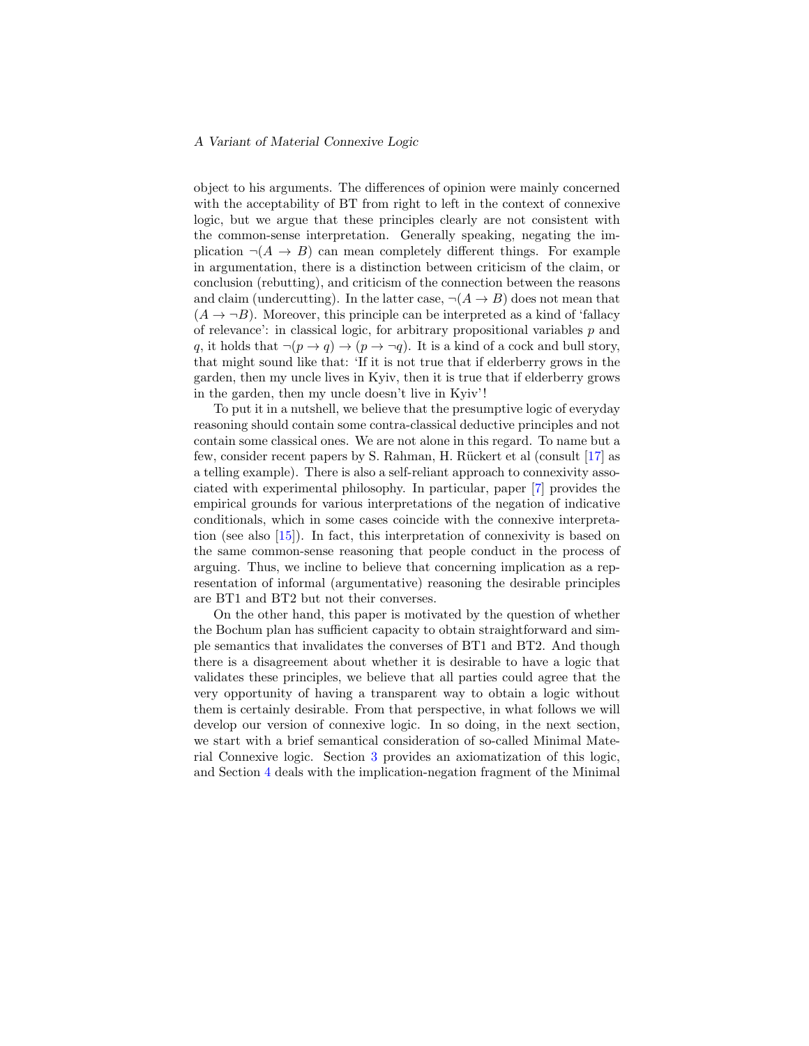object to his arguments. The differences of opinion were mainly concerned with the acceptability of BT from right to left in the context of connexive logic, but we argue that these principles clearly are not consistent with the common-sense interpretation. Generally speaking, negating the implication  $\neg(A \rightarrow B)$  can mean completely different things. For example in argumentation, there is a distinction between criticism of the claim, or conclusion (rebutting), and criticism of the connection between the reasons and claim (undercutting). In the latter case,  $\neg(A \rightarrow B)$  does not mean that  $(A \rightarrow \neg B)$ . Moreover, this principle can be interpreted as a kind of 'fallacy of relevance': in classical logic, for arbitrary propositional variables  $p$  and q, it holds that  $\neg(p \rightarrow q) \rightarrow (p \rightarrow \neg q)$ . It is a kind of a cock and bull story, that might sound like that: 'If it is not true that if elderberry grows in the garden, then my uncle lives in Kyiv, then it is true that if elderberry grows in the garden, then my uncle doesn't live in Kyiv'!

To put it in a nutshell, we believe that the presumptive logic of everyday reasoning should contain some contra-classical deductive principles and not contain some classical ones. We are not alone in this regard. To name but a few, consider recent papers by S. Rahman, H. Rückert et al (consult  $[17]$  as a telling example). There is also a self-reliant approach to connexivity associated with experimental philosophy. In particular, paper [\[7\]](#page-13-4) provides the empirical grounds for various interpretations of the negation of indicative conditionals, which in some cases coincide with the connexive interpretation (see also [\[15\]](#page-14-9)). In fact, this interpretation of connexivity is based on the same common-sense reasoning that people conduct in the process of arguing. Thus, we incline to believe that concerning implication as a representation of informal (argumentative) reasoning the desirable principles are BT1 and BT2 but not their converses.

On the other hand, this paper is motivated by the question of whether the Bochum plan has sufficient capacity to obtain straightforward and simple semantics that invalidates the converses of BT1 and BT2. And though there is a disagreement about whether it is desirable to have a logic that validates these principles, we believe that all parties could agree that the very opportunity of having a transparent way to obtain a logic without them is certainly desirable. From that perspective, in what follows we will develop our version of connexive logic. In so doing, in the next section, we start with a brief semantical consideration of so-called Minimal Material Connexive logic. Section [3](#page-6-0) provides an axiomatization of this logic, and Section [4](#page-11-0) deals with the implication-negation fragment of the Minimal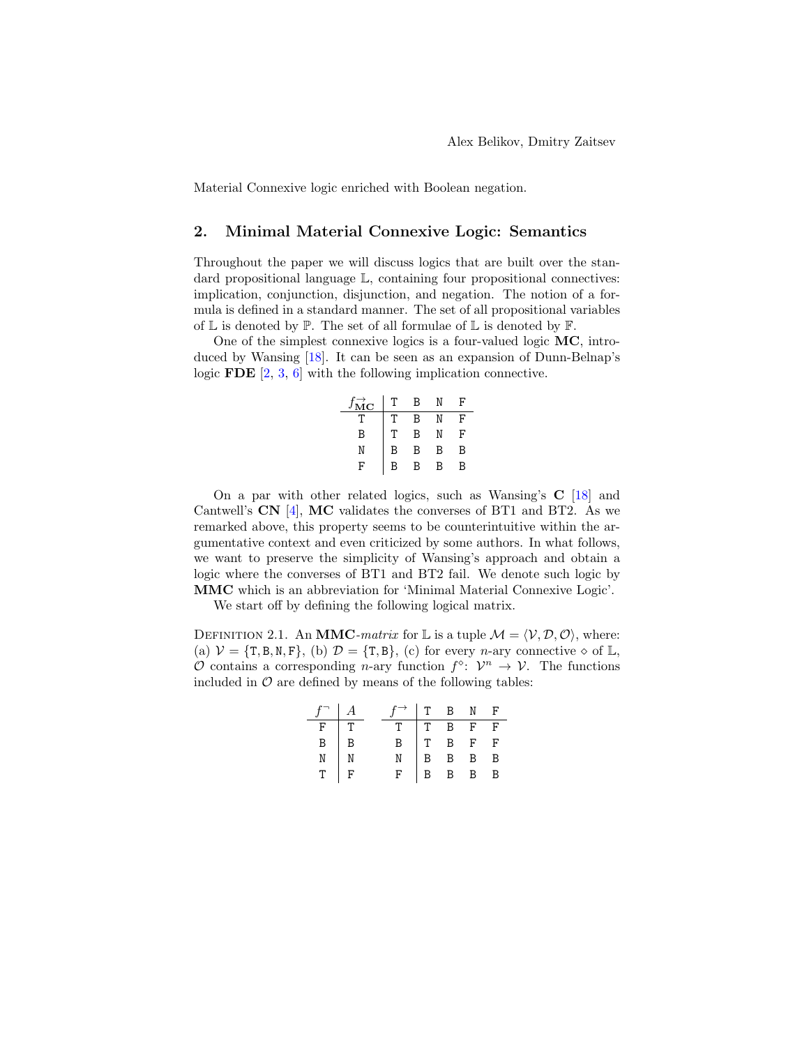Material Connexive logic enriched with Boolean negation.

## 2. Minimal Material Connexive Logic: Semantics

Throughout the paper we will discuss logics that are built over the standard propositional language  $\mathbb{L}$ , containing four propositional connectives: implication, conjunction, disjunction, and negation. The notion of a formula is defined in a standard manner. The set of all propositional variables of  $\mathbb L$  is denoted by  $\mathbb P$ . The set of all formulae of  $\mathbb L$  is denoted by  $\mathbb F$ .

One of the simplest connexive logics is a four-valued logic MC, introduced by Wansing [\[18\]](#page-14-1). It can be seen as an expansion of Dunn-Belnap's logic FDE [\[2,](#page-13-5) [3,](#page-13-6) [6\]](#page-13-0) with the following implication connective.

| $\stackrel{\rightarrow}{\rm MC}$ | т | B |   | F |
|----------------------------------|---|---|---|---|
|                                  |   | R |   | F |
| B                                | т | B |   | F |
| N                                | B | в | B | B |
| F                                | R | R | R | R |

On a par with other related logics, such as Wansing's  $C$  [\[18\]](#page-14-1) and Cantwell's CN [\[4\]](#page-13-3), MC validates the converses of BT1 and BT2. As we remarked above, this property seems to be counterintuitive within the argumentative context and even criticized by some authors. In what follows, we want to preserve the simplicity of Wansing's approach and obtain a logic where the converses of BT1 and BT2 fail. We denote such logic by MMC which is an abbreviation for 'Minimal Material Connexive Logic'.

We start off by defining the following logical matrix.

DEFINITION 2.1. An **MMC**-matrix for L is a tuple  $\mathcal{M} = \langle \mathcal{V}, \mathcal{D}, \mathcal{O} \rangle$ , where: (a)  $\mathcal{V} = \{T, B, N, F\}$ , (b)  $\mathcal{D} = \{T, B\}$ , (c) for every *n*-ary connective  $\diamond$  of L, O contains a corresponding *n*-ary function  $f^{\diamond}$ :  $\mathcal{V}^n \to \mathcal{V}$ . The functions included in  $\mathcal O$  are defined by means of the following tables:

| $f^{-}$   $A$  |                | $f \rightarrow$   T B N F |                                      |  |
|----------------|----------------|---------------------------|--------------------------------------|--|
| F              | Iт             | T.                        |                                      |  |
| $\overline{B}$ | $\overline{B}$ | $\overline{B}$            |                                      |  |
| N              |                |                           | TBFF<br>TBFF<br>BBBB<br>BBBB<br>BBBB |  |
|                | $\frac{1}{F}$  |                           |                                      |  |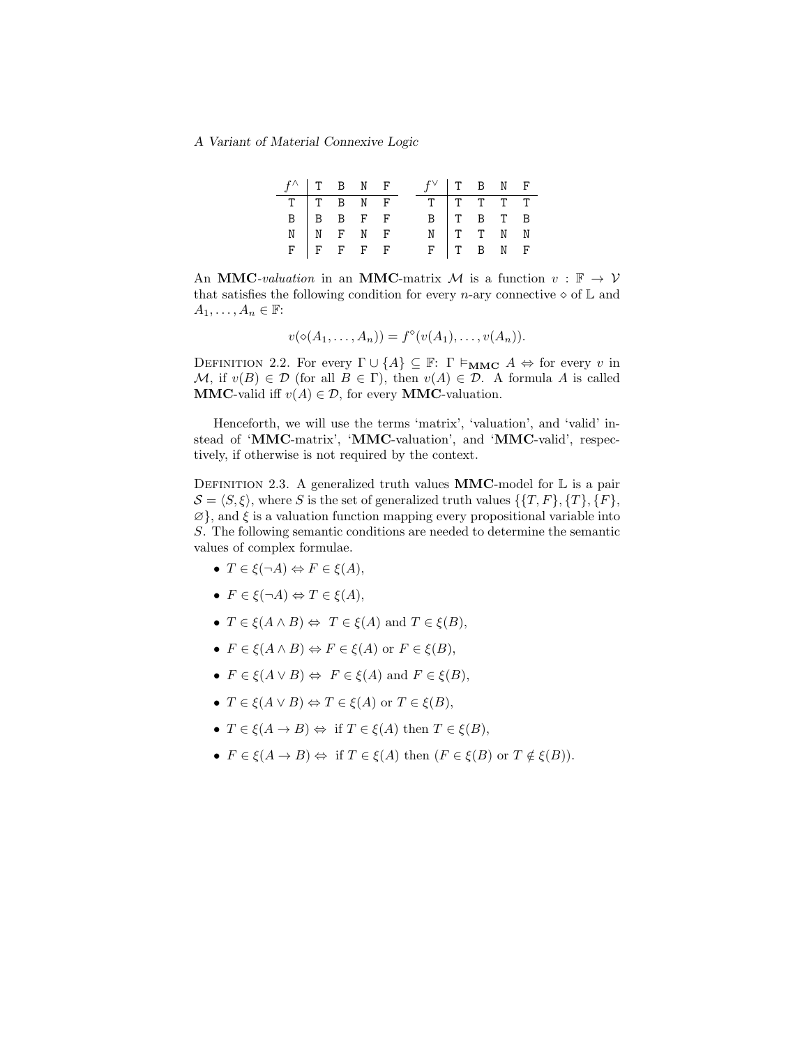| $f^{\wedge}$   T B N F |  |                                    |  | $f^{\vee}$   T B N F                                                                                  |  |  |
|------------------------|--|------------------------------------|--|-------------------------------------------------------------------------------------------------------|--|--|
|                        |  |                                    |  | TTTTT                                                                                                 |  |  |
|                        |  |                                    |  |                                                                                                       |  |  |
|                        |  |                                    |  |                                                                                                       |  |  |
|                        |  | TTTBNF<br>BBBFF<br>NNFNF<br>FFFFFF |  | $\begin{tabular}{c cccccc} B & T & B & T & B \\ N & T & T & N & N \\ F & T & B & N & F \end{tabular}$ |  |  |

An MMC-valuation in an MMC-matrix M is a function  $v : \mathbb{F} \to V$ that satisfies the following condition for every *n*-ary connective  $\diamond$  of  $\mathbb{L}$  and  $A_1, \ldots, A_n \in \mathbb{F}$ :

$$
v(\diamond(A_1,\ldots,A_n))=f^{\diamond}(v(A_1),\ldots,v(A_n)).
$$

<span id="page-4-1"></span>DEFINITION 2.2. For every  $\Gamma \cup \{A\} \subseteq \mathbb{F}$ :  $\Gamma \models_{\mathbf{MMC}} A \Leftrightarrow$  for every v in M, if  $v(B) \in \mathcal{D}$  (for all  $B \in \Gamma$ ), then  $v(A) \in \mathcal{D}$ . A formula A is called **MMC-valid iff**  $v(A) \in \mathcal{D}$ , for every **MMC-valuation**.

Henceforth, we will use the terms 'matrix', 'valuation', and 'valid' instead of 'MMC-matrix', 'MMC-valuation', and 'MMC-valid', respectively, if otherwise is not required by the context.

<span id="page-4-0"></span>DEFINITION 2.3. A generalized truth values **MMC**-model for  $\mathbb{L}$  is a pair  $S = \langle S, \xi \rangle$ , where S is the set of generalized truth values  $\{ \{T, F\}, \{T\}, \{F\}, \{F\} \}$  $\varnothing$ , and  $\xi$  is a valuation function mapping every propositional variable into S. The following semantic conditions are needed to determine the semantic values of complex formulae.

- $T \in \xi(\neg A) \Leftrightarrow F \in \xi(A)$ ,
- $F \in \xi(\neg A) \Leftrightarrow T \in \xi(A)$ ,
- $T \in \mathcal{E}(A \wedge B) \Leftrightarrow T \in \mathcal{E}(A)$  and  $T \in \mathcal{E}(B)$ ,
- $F \in \xi(A \wedge B) \Leftrightarrow F \in \xi(A)$  or  $F \in \xi(B)$ ,
- $F \in \mathcal{E}(A \vee B) \Leftrightarrow F \in \mathcal{E}(A)$  and  $F \in \mathcal{E}(B)$ ,
- $T \in \xi(A \vee B) \Leftrightarrow T \in \xi(A)$  or  $T \in \xi(B)$ ,
- $T \in \xi(A \to B) \Leftrightarrow$  if  $T \in \xi(A)$  then  $T \in \xi(B)$ ,
- $F \in \mathcal{E}(A \to B) \Leftrightarrow$  if  $T \in \mathcal{E}(A)$  then  $(F \in \mathcal{E}(B))$  or  $T \notin \mathcal{E}(B)$ .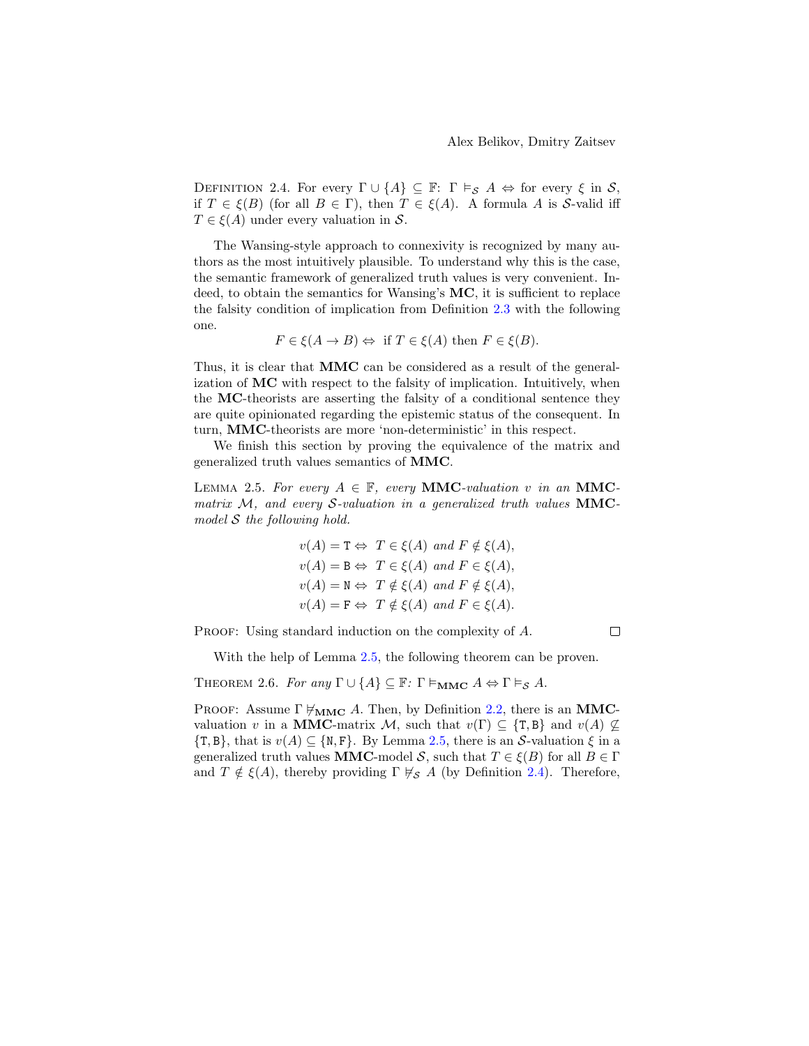<span id="page-5-1"></span>DEFINITION 2.4. For every  $\Gamma \cup \{A\} \subseteq \mathbb{F}$ :  $\Gamma \models_S A \Leftrightarrow$  for every  $\xi$  in S, if  $T \in \xi(B)$  (for all  $B \in \Gamma$ ), then  $T \in \xi(A)$ . A formula A is S-valid iff  $T \in \mathcal{E}(A)$  under every valuation in S.

The Wansing-style approach to connexivity is recognized by many authors as the most intuitively plausible. To understand why this is the case, the semantic framework of generalized truth values is very convenient. Indeed, to obtain the semantics for Wansing's MC, it is sufficient to replace the falsity condition of implication from Definition [2.3](#page-4-0) with the following one.

$$
F \in \xi(A \to B) \Leftrightarrow \text{ if } T \in \xi(A) \text{ then } F \in \xi(B).
$$

Thus, it is clear that MMC can be considered as a result of the generalization of MC with respect to the falsity of implication. Intuitively, when the MC-theorists are asserting the falsity of a conditional sentence they are quite opinionated regarding the epistemic status of the consequent. In turn, MMC-theorists are more 'non-deterministic' in this respect.

We finish this section by proving the equivalence of the matrix and generalized truth values semantics of MMC.

<span id="page-5-0"></span>LEMMA 2.5. For every  $A \in \mathbb{F}$ , every **MMC**-valuation v in an **MMC**matrix  $M$ , and every S-valuation in a generalized truth values  $MMC$ model S the following hold.

$$
v(A) = T \Leftrightarrow T \in \xi(A) \text{ and } F \notin \xi(A),
$$
  
\n
$$
v(A) = B \Leftrightarrow T \in \xi(A) \text{ and } F \in \xi(A),
$$
  
\n
$$
v(A) = N \Leftrightarrow T \notin \xi(A) \text{ and } F \notin \xi(A),
$$
  
\n
$$
v(A) = F \Leftrightarrow T \notin \xi(A) \text{ and } F \in \xi(A).
$$

PROOF: Using standard induction on the complexity of A.

With the help of Lemma [2.5,](#page-5-0) the following theorem can be proven.

<span id="page-5-2"></span>THEOREM 2.6. For any  $\Gamma \cup \{A\} \subseteq \mathbb{F}$ :  $\Gamma \models_{\textbf{MMC}} A \Leftrightarrow \Gamma \models_{\mathcal{S}} A$ .

PROOF: Assume  $\Gamma \not\models_{\mathbf{MMC}} A$ . Then, by Definition [2.2,](#page-4-1) there is an **MMC**valuation v in a MMC-matrix M, such that  $v(\Gamma) \subseteq {\text{T}, \text{B}}$  and  $v(A) \nsubseteq$  $\{\mathsf{T},\mathsf{B}\}\text{, that is }v(A)\subseteq\{\mathsf{N},\mathsf{F}\}\text{. By Lemma 2.5, there is an }\mathcal{S}\text{-valuation }\xi\text{ in a }$  $\{\mathsf{T},\mathsf{B}\}\text{, that is }v(A)\subseteq\{\mathsf{N},\mathsf{F}\}\text{. By Lemma 2.5, there is an }\mathcal{S}\text{-valuation }\xi\text{ in a }$  $\{\mathsf{T},\mathsf{B}\}\text{, that is }v(A)\subseteq\{\mathsf{N},\mathsf{F}\}\text{. By Lemma 2.5, there is an }\mathcal{S}\text{-valuation }\xi\text{ in a }$ generalized truth values **MMC**-model S, such that  $T \in \mathcal{E}(B)$  for all  $B \in \Gamma$ and  $T \notin \xi(A)$ , thereby providing  $\Gamma \not\vdash_{\mathcal{S}} A$  (by Definition [2.4\)](#page-5-1). Therefore,

 $\Box$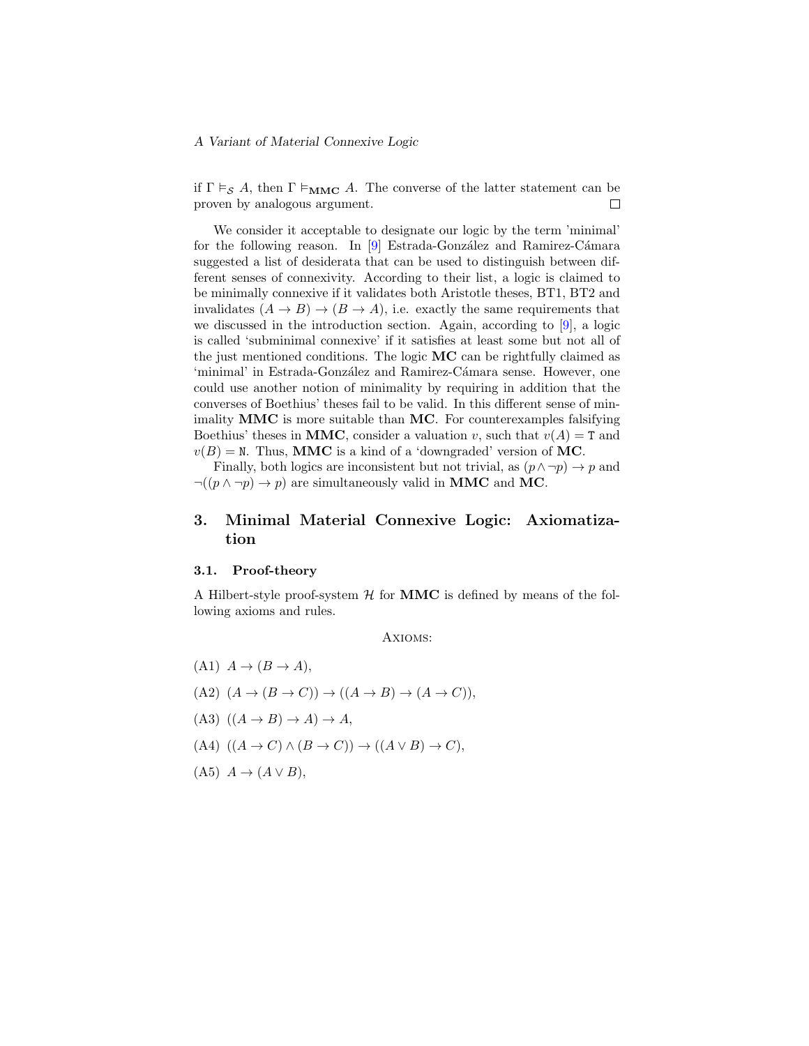if  $\Gamma \vDash_{\mathcal{S}} A$ , then  $\Gamma \vDash_{\mathbf{MMC}} A$ . The converse of the latter statement can be proven by analogous argument.  $\Box$ 

We consider it acceptable to designate our logic by the term 'minimal' for the following reason. In  $[9]$  Estrada-González and Ramirez-Cámara suggested a list of desiderata that can be used to distinguish between different senses of connexivity. According to their list, a logic is claimed to be minimally connexive if it validates both Aristotle theses, BT1, BT2 and invalidates  $(A \rightarrow B) \rightarrow (B \rightarrow A)$ , i.e. exactly the same requirements that we discussed in the introduction section. Again, according to [\[9\]](#page-14-10), a logic is called 'subminimal connexive' if it satisfies at least some but not all of the just mentioned conditions. The logic MC can be rightfully claimed as 'minimal' in Estrada-González and Ramirez-Cámara sense. However, one could use another notion of minimality by requiring in addition that the converses of Boethius' theses fail to be valid. In this different sense of minimality  $MMC$  is more suitable than  $MC$ . For counterexamples falsifying Boethius' theses in MMC, consider a valuation v, such that  $v(A) = T$  and  $v(B) = N$ . Thus, MMC is a kind of a 'downgraded' version of MC.

Finally, both logics are inconsistent but not trivial, as  $(p \land \neg p) \rightarrow p$  and  $\neg((p \land \neg p) \rightarrow p)$  are simultaneously valid in MMC and MC.

## <span id="page-6-0"></span>3. Minimal Material Connexive Logic: Axiomatization

#### 3.1. Proof-theory

A Hilbert-style proof-system  $H$  for **MMC** is defined by means of the following axioms and rules.

Axioms:

\n- (A1) 
$$
A \rightarrow (B \rightarrow A),
$$
\n- (A2)  $(A \rightarrow (B \rightarrow C)) \rightarrow ((A \rightarrow B) \rightarrow (A \rightarrow C)),$
\n- (A3)  $((A \rightarrow B) \rightarrow A) \rightarrow A,$
\n- (A4)  $((A \rightarrow C) \land (B \rightarrow C)) \rightarrow ((A \lor B) \rightarrow C),$
\n- (A5)  $A \rightarrow (A \lor B),$
\n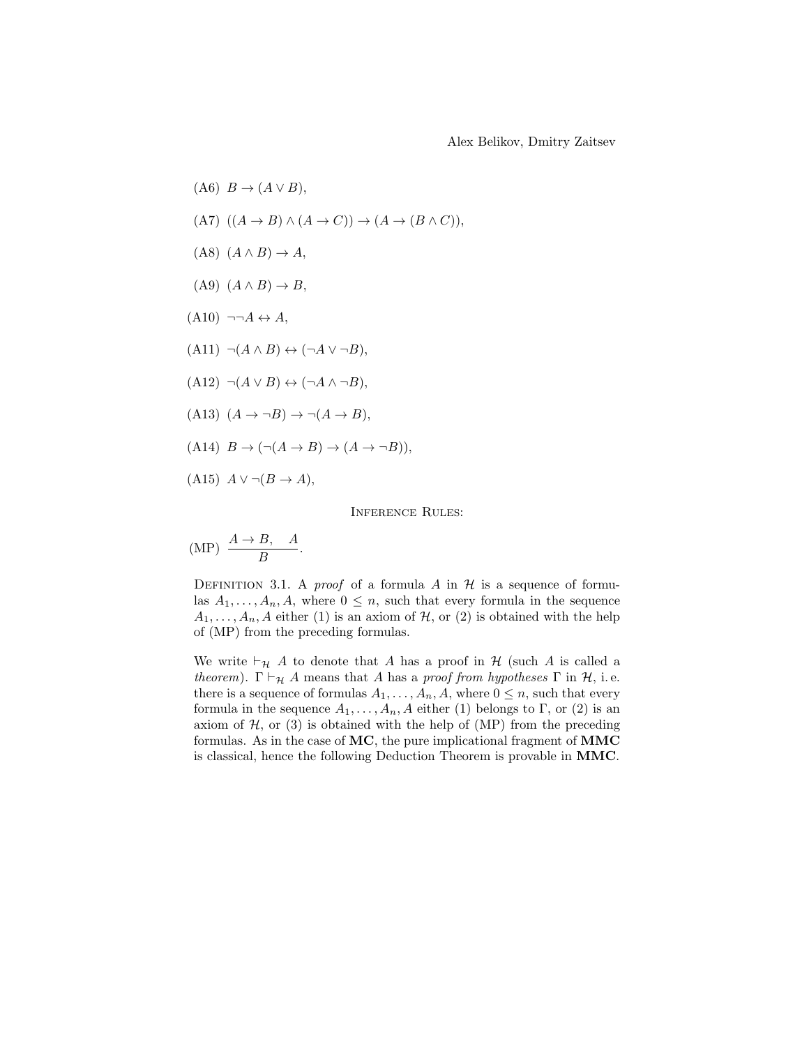$$
(A6) \quad B \to (A \lor B),
$$
\n
$$
(A7) \quad ((A \to B) \land (A \to C)) \to (A \to (B \land C)),
$$
\n
$$
(A8) \quad (A \land B) \to A,
$$
\n
$$
(A9) \quad (A \land B) \to B,
$$
\n
$$
(A10) \quad \neg \neg A \leftrightarrow A,
$$
\n
$$
(A11) \quad \neg (A \land B) \leftrightarrow (\neg A \lor \neg B),
$$
\n
$$
(A12) \quad \neg (A \lor B) \leftrightarrow (\neg A \land \neg B),
$$
\n
$$
(A13) \quad (A \to \neg B) \to \neg (A \to B),
$$
\n
$$
(A14) \quad B \to (\neg (A \to B) \to (A \to \neg B)),
$$
\n
$$
(A15) \quad A \lor \neg (B \to A),
$$

Inference Rules:

$$
(MP) \frac{A \to B, A}{B}.
$$

DEFINITION 3.1. A *proof* of a formula A in  $\mathcal H$  is a sequence of formulas  $A_1, \ldots, A_n, A$ , where  $0 \leq n$ , such that every formula in the sequence  $A_1, \ldots, A_n, A$  either (1) is an axiom of  $H$ , or (2) is obtained with the help of (MP) from the preceding formulas.

We write  $\vdash_{\mathcal{H}} A$  to denote that A has a proof in  $\mathcal{H}$  (such A is called a theorem).  $\Gamma \vdash_{\mathcal{H}} A$  means that A has a proof from hypotheses  $\Gamma$  in  $\mathcal{H}$ , i.e. there is a sequence of formulas  $A_1, \ldots, A_n, A$ , where  $0 \leq n$ , such that every formula in the sequence  $A_1, \ldots, A_n, A$  either (1) belongs to Γ, or (2) is an axiom of  $H$ , or (3) is obtained with the help of (MP) from the preceding formulas. As in the case of  $MC$ , the pure implicational fragment of  $MMC$ is classical, hence the following Deduction Theorem is provable in MMC.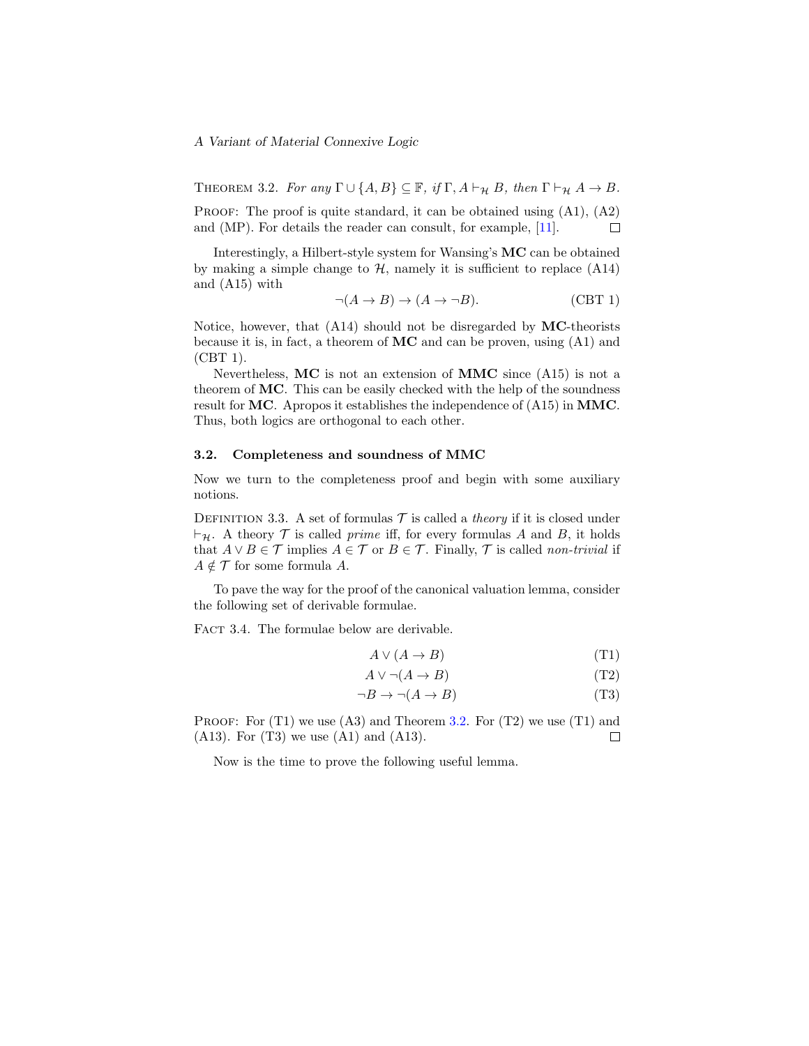<span id="page-8-0"></span>THEOREM 3.2. For any  $\Gamma \cup \{A, B\} \subseteq \mathbb{F}$ , if  $\Gamma$ ,  $A \vdash_{\mathcal{H}} B$ , then  $\Gamma \vdash_{\mathcal{H}} A \to B$ . PROOF: The proof is quite standard, it can be obtained using  $(A1)$ ,  $(A2)$ and (MP). For details the reader can consult, for example, [\[11\]](#page-14-11). П

Interestingly, a Hilbert-style system for Wansing's MC can be obtained by making a simple change to  $H$ , namely it is sufficient to replace  $(A14)$ and (A15) with

$$
\neg(A \to B) \to (A \to \neg B). \tag{CBT 1}
$$

Notice, however, that  $(A14)$  should not be disregarded by MC-theorists because it is, in fact, a theorem of  $MC$  and can be proven, using  $(A1)$  and (CBT 1).

Nevertheless,  $MC$  is not an extension of  $MMC$  since  $(A15)$  is not a theorem of MC. This can be easily checked with the help of the soundness result for MC. Apropos it establishes the independence of (A15) in MMC. Thus, both logics are orthogonal to each other.

#### 3.2. Completeness and soundness of MMC

Now we turn to the completeness proof and begin with some auxiliary notions.

DEFINITION 3.3. A set of formulas  $\mathcal T$  is called a *theory* if it is closed under  $\vdash_{\mathcal{H}}$ . A theory T is called prime iff, for every formulas A and B, it holds that  $A \vee B \in \mathcal{T}$  implies  $A \in \mathcal{T}$  or  $B \in \mathcal{T}$ . Finally,  $\mathcal{T}$  is called non-trivial if  $A \notin \mathcal{T}$  for some formula A.

To pave the way for the proof of the canonical valuation lemma, consider the following set of derivable formulae.

<span id="page-8-1"></span>FACT 3.4. The formulae below are derivable.

$$
A \lor (A \to B) \tag{T1}
$$

$$
A \lor \neg(A \to B) \tag{T2}
$$

$$
\neg B \to \neg (A \to B) \tag{T3}
$$

PROOF: For  $(T1)$  we use  $(A3)$  and Theorem [3.2.](#page-8-0) For  $(T2)$  we use  $(T1)$  and (A13). For (T3) we use (A1) and (A13).  $\Box$ 

Now is the time to prove the following useful lemma.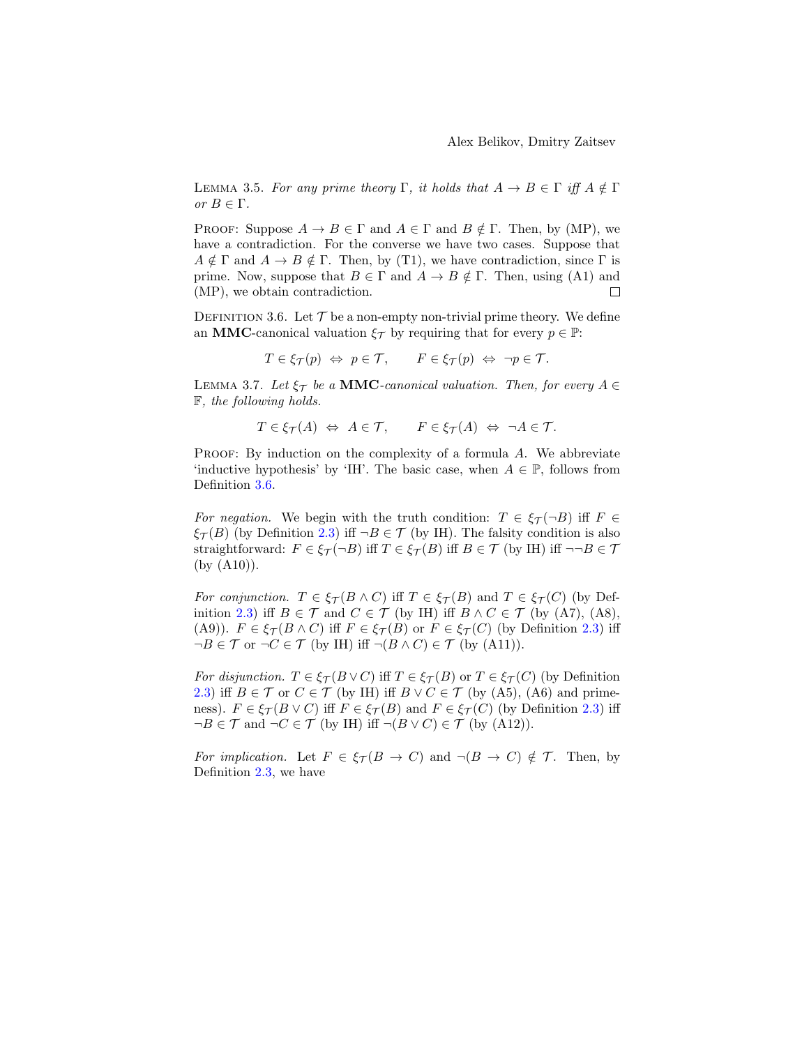<span id="page-9-1"></span>LEMMA 3.5. For any prime theory  $\Gamma$ , it holds that  $A \to B \in \Gamma$  iff  $A \notin \Gamma$ or  $B \in \Gamma$ .

PROOF: Suppose  $A \to B \in \Gamma$  and  $A \in \Gamma$  and  $B \notin \Gamma$ . Then, by (MP), we have a contradiction. For the converse we have two cases. Suppose that  $A \notin \Gamma$  and  $A \to B \notin \Gamma$ . Then, by (T1), we have contradiction, since  $\Gamma$  is prime. Now, suppose that  $B \in \Gamma$  and  $A \to B \notin \Gamma$ . Then, using (A1) and (MP), we obtain contradiction.  $\Box$ 

<span id="page-9-0"></span>DEFINITION 3.6. Let  $\mathcal T$  be a non-empty non-trivial prime theory. We define an **MMC**-canonical valuation  $\xi_{\mathcal{T}}$  by requiring that for every  $p \in \mathbb{P}$ :

$$
T \in \xi_{\mathcal{T}}(p) \iff p \in \mathcal{T}, \qquad F \in \xi_{\mathcal{T}}(p) \iff \neg p \in \mathcal{T}.
$$

LEMMA 3.7. Let  $\xi_{\mathcal{T}}$  be a **MMC**-canonical valuation. Then, for every  $A \in$ F, the following holds.

$$
T \in \xi_{\mathcal{T}}(A) \iff A \in \mathcal{T}, \qquad F \in \xi_{\mathcal{T}}(A) \iff \neg A \in \mathcal{T}.
$$

PROOF: By induction on the complexity of a formula A. We abbreviate 'inductive hypothesis' by 'IH'. The basic case, when  $A \in \mathbb{P}$ , follows from Definition [3.6.](#page-9-0)

For negation. We begin with the truth condition:  $T \in \mathcal{E}_{\tau}(\neg B)$  iff  $F \in$  $\xi_{\mathcal{T}}(B)$  (by Definition [2.3\)](#page-4-0) iff  $\neg B \in \mathcal{T}$  (by IH). The falsity condition is also straightforward:  $F \in \xi_{\mathcal{T}}(\neg B)$  iff  $T \in \xi_{\mathcal{T}}(B)$  iff  $B \in \mathcal{T}$  (by IH) iff  $\neg \neg B \in \mathcal{T}$ (by (A10)).

For conjunction.  $T \in \mathcal{E}_{\mathcal{T}}(B \wedge C)$  iff  $T \in \mathcal{E}_{\mathcal{T}}(B)$  and  $T \in \mathcal{E}_{\mathcal{T}}(C)$  (by Def-inition [2.3\)](#page-4-0) iff  $B \in \mathcal{T}$  and  $C \in \mathcal{T}$  (by IH) iff  $B \wedge C \in \mathcal{T}$  (by (A7), (A8), (A9)).  $F \in \mathcal{E}_{\mathcal{T}}(B \wedge C)$  iff  $F \in \mathcal{E}_{\mathcal{T}}(B)$  or  $F \in \mathcal{E}_{\mathcal{T}}(C)$  (by Definition [2.3\)](#page-4-0) iff  $\neg B \in \mathcal{T}$  or  $\neg C \in \mathcal{T}$  (by IH) iff  $\neg (B \wedge C) \in \mathcal{T}$  (by (A11)).

For disjunction.  $T \in \xi_{\mathcal{T}}(B \vee C)$  iff  $T \in \xi_{\mathcal{T}}(B)$  or  $T \in \xi_{\mathcal{T}}(C)$  (by Definition [2.3\)](#page-4-0) iff  $B \in \mathcal{T}$  or  $C \in \mathcal{T}$  (by IH) iff  $B \vee C \in \mathcal{T}$  (by (A5), (A6) and primeness).  $F \in \xi_{\mathcal{T}}(B \vee C)$  iff  $F \in \xi_{\mathcal{T}}(B)$  and  $F \in \xi_{\mathcal{T}}(C)$  (by Definition [2.3\)](#page-4-0) iff  $\neg B \in \mathcal{T}$  and  $\neg C \in \mathcal{T}$  (by IH) iff  $\neg (B \vee C) \in \mathcal{T}$  (by (A12)).

For implication. Let  $F \in \xi_{\mathcal{T}}(B \to C)$  and  $\neg(B \to C) \notin \mathcal{T}$ . Then, by Definition [2.3,](#page-4-0) we have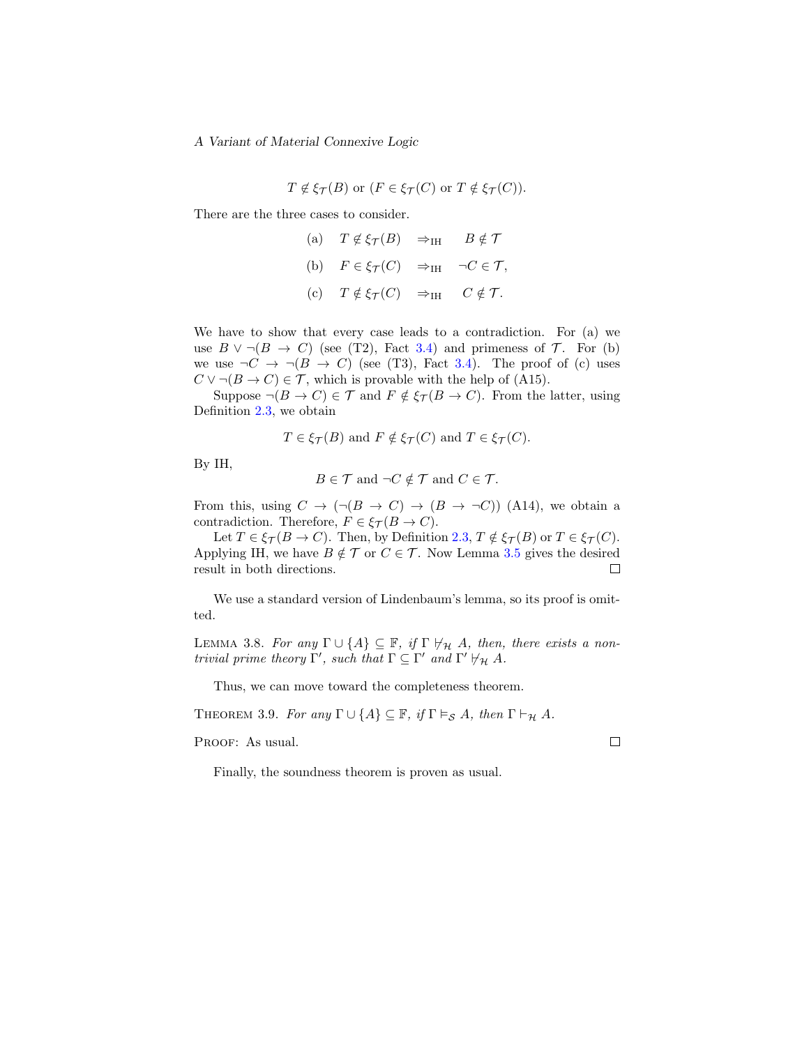$$
T \notin \xi_{\mathcal{T}}(B)
$$
 or  $(F \in \xi_{\mathcal{T}}(C)$  or  $T \notin \xi_{\mathcal{T}}(C))$ .

There are the three cases to consider.

(a)  $T \notin \xi_{\mathcal{T}}(B) \Rightarrow_{\text{IH}} B \notin \mathcal{T}$ (b)  $F \in \xi_{\mathcal{T}}(C) \implies_{\text{IH}} \neg C \in \mathcal{T},$ (c)  $T \notin \xi_{\mathcal{T}}(C) \Rightarrow_{\text{IH}} C \notin \mathcal{T}$ .

We have to show that every case leads to a contradiction. For (a) we use  $B \vee \neg (B \rightarrow C)$  (see (T2), Fact [3.4\)](#page-8-1) and primeness of  $\mathcal{T}$ . For (b) we use  $\neg C \rightarrow \neg (B \rightarrow C)$  (see (T3), Fact [3.4\)](#page-8-1). The proof of (c) uses  $C \vee \neg (B \to C) \in \mathcal{T}$ , which is provable with the help of (A15).

Suppose  $\neg(B \to C) \in \mathcal{T}$  and  $F \notin \xi_{\mathcal{T}}(B \to C)$ . From the latter, using Definition [2.3,](#page-4-0) we obtain

$$
T \in \xi_{\mathcal{T}}(B)
$$
 and  $F \notin \xi_{\mathcal{T}}(C)$  and  $T \in \xi_{\mathcal{T}}(C)$ .

By IH,

 $B \in \mathcal{T}$  and  $\neg C \notin \mathcal{T}$  and  $C \in \mathcal{T}$ .

From this, using  $C \to (\neg(B \to C) \to (B \to \neg C))$  (A14), we obtain a contradiction. Therefore,  $F \in \xi_{\mathcal{T}}(B \to C)$ .

Let  $T \in \xi_{\mathcal{T}}(B \to C)$ . Then, by Definition [2.3,](#page-4-0)  $T \notin \xi_{\mathcal{T}}(B)$  or  $T \in \xi_{\mathcal{T}}(C)$ . Applying IH, we have  $B \notin \mathcal{T}$  or  $C \in \mathcal{T}$ . Now Lemma [3.5](#page-9-1) gives the desired result in both directions.  $\Box$ 

We use a standard version of Lindenbaum's lemma, so its proof is omitted.

LEMMA 3.8. For any  $\Gamma \cup \{A\} \subseteq \mathbb{F}$ , if  $\Gamma \nvDash_{\mathcal{H}} A$ , then, there exists a nontrivial prime theory  $\Gamma'$ , such that  $\Gamma \subseteq \Gamma'$  and  $\Gamma' \not\vdash_{\mathcal{H}} A$ .

Thus, we can move toward the completeness theorem.

THEOREM 3.9. For any  $\Gamma \cup \{A\} \subseteq \mathbb{F}$ , if  $\Gamma \vDash_{\mathcal{S}} A$ , then  $\Gamma \vdash_{\mathcal{H}} A$ .

PROOF: As usual.

Finally, the soundness theorem is proven as usual.

П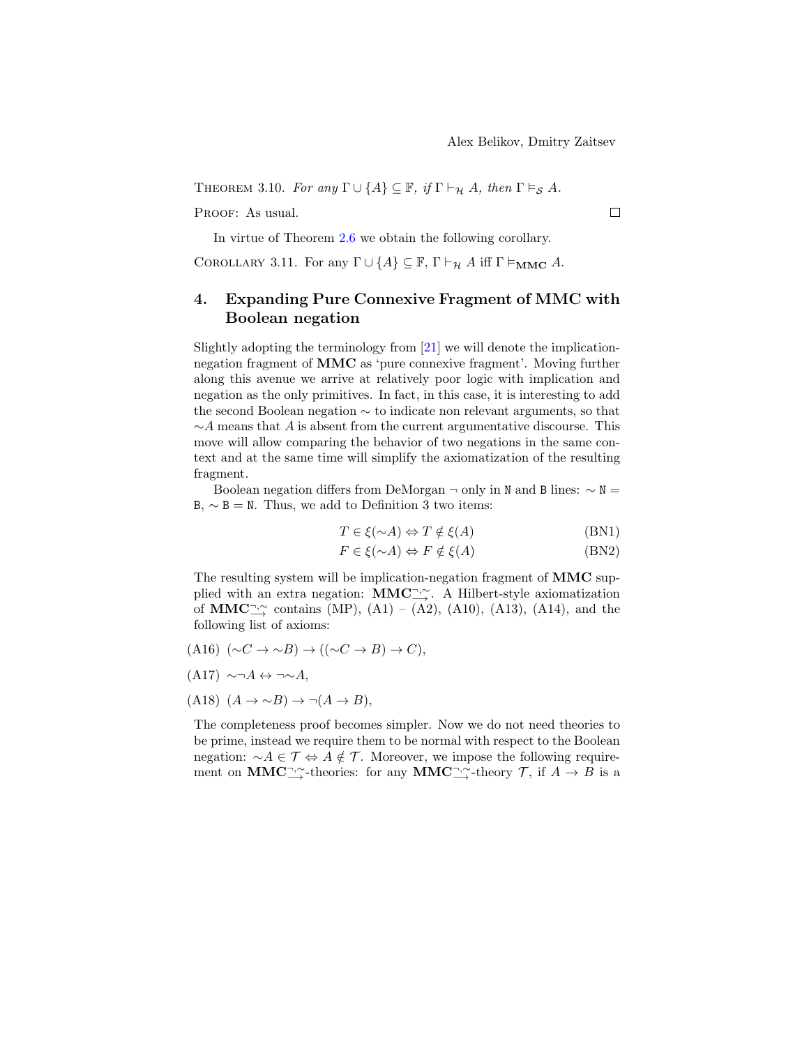THEOREM 3.10. For any  $\Gamma \cup \{A\} \subseteq \mathbb{F}$ , if  $\Gamma \vdash_{\mathcal{H}} A$ , then  $\Gamma \vDash_{\mathcal{S}} A$ .

PROOF: As usual.

In virtue of Theorem [2.6](#page-5-2) we obtain the following corollary.

COROLLARY 3.11. For any  $\Gamma \cup \{A\} \subseteq \mathbb{F}$ ,  $\Gamma \vdash_{\mathcal{H}} A$  iff  $\Gamma \vDash_{\mathbf{MMC}} A$ .

## <span id="page-11-0"></span>4. Expanding Pure Connexive Fragment of MMC with Boolean negation

Slightly adopting the terminology from [\[21\]](#page-15-1) we will denote the implicationnegation fragment of MMC as 'pure connexive fragment'. Moving further along this avenue we arrive at relatively poor logic with implication and negation as the only primitives. In fact, in this case, it is interesting to add the second Boolean negation ∼ to indicate non relevant arguments, so that  $\sim$ A means that A is absent from the current argumentative discourse. This move will allow comparing the behavior of two negations in the same context and at the same time will simplify the axiomatization of the resulting fragment.

Boolean negation differs from DeMorgan  $\neg$  only in N and B lines:  $\sim N =$ B,  $\sim$  B = N. Thus, we add to Definition 3 two items:

$$
T \in \xi(\sim A) \Leftrightarrow T \notin \xi(A) \tag{BN1}
$$

$$
F \in \xi(\sim A) \Leftrightarrow F \notin \xi(A) \tag{BN2}
$$

The resulting system will be implication-negation fragment of MMC supplied with an extra negation: MMC $\exists$ ∴ A Hilbert-style axiomatization of MMC $\Rightarrow$  contains (MP), (A1) – (A2), (A10), (A13), (A14), and the following list of axioms:

 $(A16)$   $(\sim C \rightarrow \sim B) \rightarrow ((\sim C \rightarrow B) \rightarrow C)$ ,

$$
(A17) \sim \neg A \leftrightarrow \neg \sim A,
$$

$$
(A18) (A \to \sim B) \to \neg(A \to B),
$$

The completeness proof becomes simpler. Now we do not need theories to be prime, instead we require them to be normal with respect to the Boolean negation:  $\sim A \in \mathcal{T} \Leftrightarrow A \notin \mathcal{T}$ . Moreover, we impose the following requirement on **MMC**<sup>¬</sup>,∼<sup>*∼*</sup>-theories: for any **MMC**<sup>¬</sup>,∼<sup>*∼*</sup>-theory *T*, if *A* → *B* is a

 $\Box$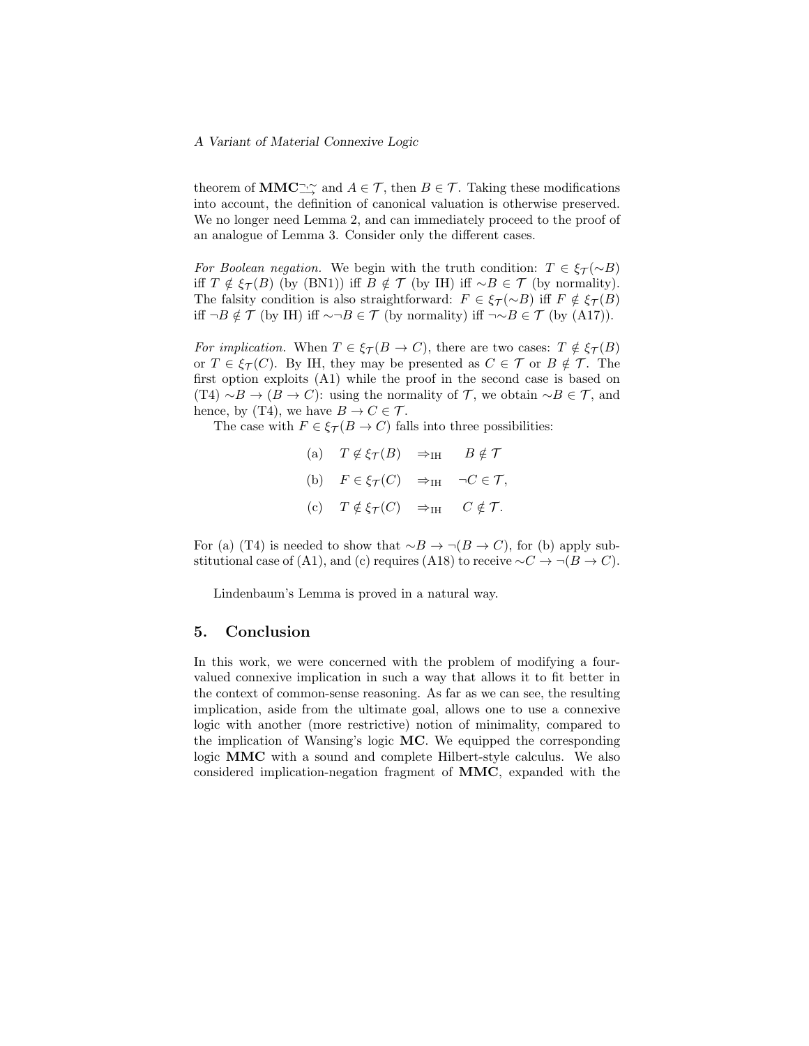theorem of  $\text{MMC}_{\longrightarrow}^{\neg, \sim}$  and  $A \in \mathcal{T}$ , then  $B \in \mathcal{T}$ . Taking these modifications into account, the definition of canonical valuation is otherwise preserved. We no longer need Lemma 2, and can immediately proceed to the proof of an analogue of Lemma 3. Consider only the different cases.

For Boolean negation. We begin with the truth condition:  $T \in \mathcal{E}_{\tau}(\sim B)$ iff  $T \notin \xi_{\mathcal{T}}(B)$  (by (BN1)) iff  $B \notin \mathcal{T}$  (by IH) iff ∼ $B \in \mathcal{T}$  (by normality). The falsity condition is also straightforward:  $F \in \xi_{\mathcal{T}}(\sim B)$  iff  $F \notin \xi_{\mathcal{T}}(B)$ iff  $\neg B \notin \mathcal{T}$  (by IH) iff  $\sim \neg B \in \mathcal{T}$  (by normality) iff  $\neg \sim B \in \mathcal{T}$  (by (A17)).

For implication. When  $T \in \xi_{\mathcal{T}}(B \to C)$ , there are two cases:  $T \notin \xi_{\mathcal{T}}(B)$ or  $T \in \xi_{\mathcal{T}}(C)$ . By IH, they may be presented as  $C \in \mathcal{T}$  or  $B \notin \mathcal{T}$ . The first option exploits (A1) while the proof in the second case is based on (T4)  $\sim B \to (B \to C)$ : using the normality of  $\mathcal{T}$ , we obtain  $\sim B \in \mathcal{T}$ , and hence, by (T4), we have  $B \to C \in \mathcal{T}$ .

The case with  $F \in \xi_{\mathcal{T}}(B \to C)$  falls into three possibilities:

| (a) $T \notin \xi_{\mathcal{T}}(B) \Rightarrow_{\text{IH}} B \notin \mathcal{T}$  |  |
|-----------------------------------------------------------------------------------|--|
| (b) $F \in \xi_{\mathcal{T}}(C) \Rightarrow_{\text{IH}} \neg C \in \mathcal{T},$  |  |
| (c) $T \notin \xi_{\mathcal{T}}(C) \Rightarrow_{\text{IH}} C \notin \mathcal{T}.$ |  |

For (a) (T4) is needed to show that  $\sim B \to \neg(B \to C)$ , for (b) apply substitutional case of (A1), and (c) requires (A18) to receive  $\sim C \rightarrow \neg(B \rightarrow C)$ .

Lindenbaum's Lemma is proved in a natural way.

#### 5. Conclusion

In this work, we were concerned with the problem of modifying a fourvalued connexive implication in such a way that allows it to fit better in the context of common-sense reasoning. As far as we can see, the resulting implication, aside from the ultimate goal, allows one to use a connexive logic with another (more restrictive) notion of minimality, compared to the implication of Wansing's logic MC. We equipped the corresponding logic MMC with a sound and complete Hilbert-style calculus. We also considered implication-negation fragment of MMC, expanded with the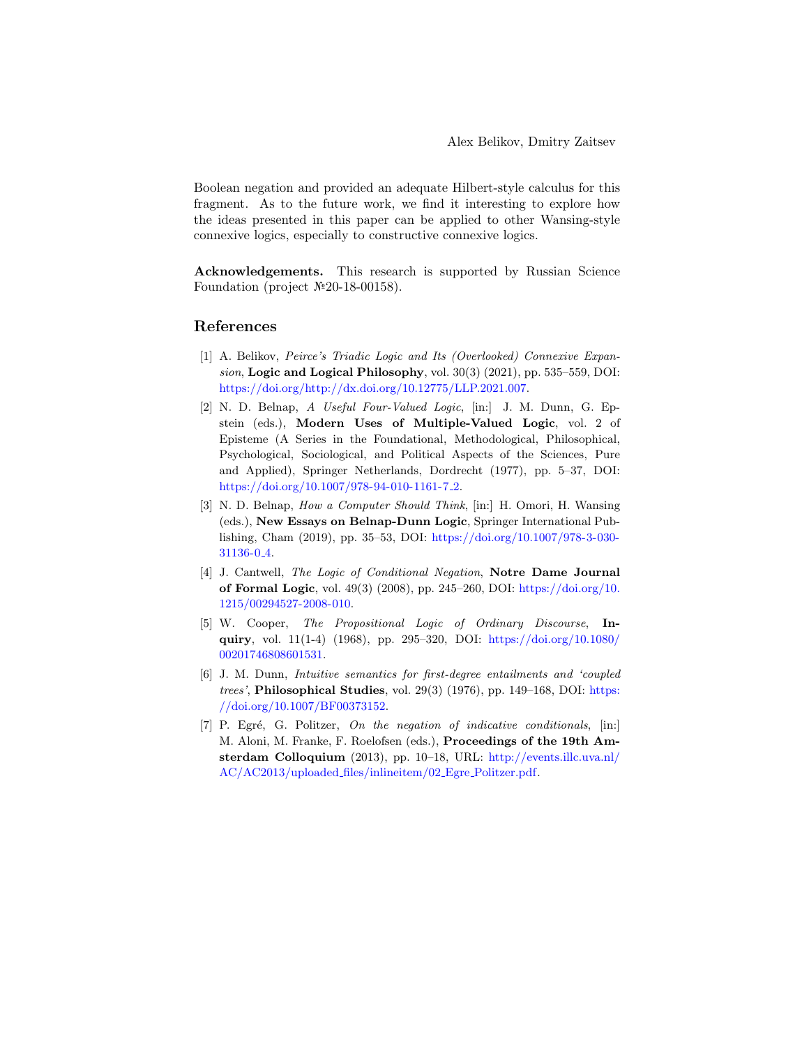Boolean negation and provided an adequate Hilbert-style calculus for this fragment. As to the future work, we find it interesting to explore how the ideas presented in this paper can be applied to other Wansing-style connexive logics, especially to constructive connexive logics.

Acknowledgements. This research is supported by Russian Science Foundation (project №20-18-00158).

## References

- <span id="page-13-2"></span>[1] A. Belikov, Peirce's Triadic Logic and Its (Overlooked) Connexive Expansion, Logic and Logical Philosophy, vol.  $30(3)(2021)$ , pp.  $535-559$ , DOI: [https://doi.org/http://dx.doi.org/10.12775/LLP.2021.007.](https://doi.org/http://dx.doi.org/10.12775/LLP.2021.007)
- <span id="page-13-5"></span>[2] N. D. Belnap, A Useful Four-Valued Logic, [in:] J. M. Dunn, G. Epstein (eds.), Modern Uses of Multiple-Valued Logic, vol. 2 of Episteme (A Series in the Foundational, Methodological, Philosophical, Psychological, Sociological, and Political Aspects of the Sciences, Pure and Applied), Springer Netherlands, Dordrecht (1977), pp. 5–37, DOI: [https://doi.org/10.1007/978-94-010-1161-7](https://doi.org/10.1007/978-94-010-1161-7_2) 2.
- <span id="page-13-6"></span>[3] N. D. Belnap, How a Computer Should Think, [in:] H. Omori, H. Wansing (eds.), New Essays on Belnap-Dunn Logic, Springer International Publishing, Cham (2019), pp. 35–53, DOI: [https://doi.org/10.1007/978-3-030-](https://doi.org/10.1007/978-3-030-31136-0_4) [31136-0](https://doi.org/10.1007/978-3-030-31136-0_4) 4.
- <span id="page-13-3"></span>[4] J. Cantwell, The Logic of Conditional Negation, Notre Dame Journal of Formal Logic, vol. 49(3) (2008), pp. 245–260, DOI: [https://doi.org/10.](https://doi.org/10.1215/00294527-2008-010) [1215/00294527-2008-010.](https://doi.org/10.1215/00294527-2008-010)
- <span id="page-13-1"></span>[5] W. Cooper, The Propositional Logic of Ordinary Discourse, Inquiry, vol. 11(1-4) (1968), pp. 295–320, DOI: [https://doi.org/10.1080/](https://doi.org/10.1080/00201746808601531) [00201746808601531.](https://doi.org/10.1080/00201746808601531)
- <span id="page-13-0"></span>[6] J. M. Dunn, Intuitive semantics for first-degree entailments and 'coupled trees', Philosophical Studies, vol. 29(3) (1976), pp. 149–168, DOI: [https:](https://doi.org/10.1007/BF00373152) [//doi.org/10.1007/BF00373152.](https://doi.org/10.1007/BF00373152)
- <span id="page-13-4"></span> $[7]$  P. Egré, G. Politzer, On the negation of indicative conditionals,  $[$ in: $]$ M. Aloni, M. Franke, F. Roelofsen (eds.), Proceedings of the 19th Amsterdam Colloquium (2013), pp. 10–18, URL: [http://events.illc.uva.nl/](http://events.illc.uva.nl/AC/AC2013/uploaded_files/inlineitem/02_Egre_Politzer.pdf) [AC/AC2013/uploaded](http://events.illc.uva.nl/AC/AC2013/uploaded_files/inlineitem/02_Egre_Politzer.pdf) files/inlineitem/02 Egre Politzer.pdf.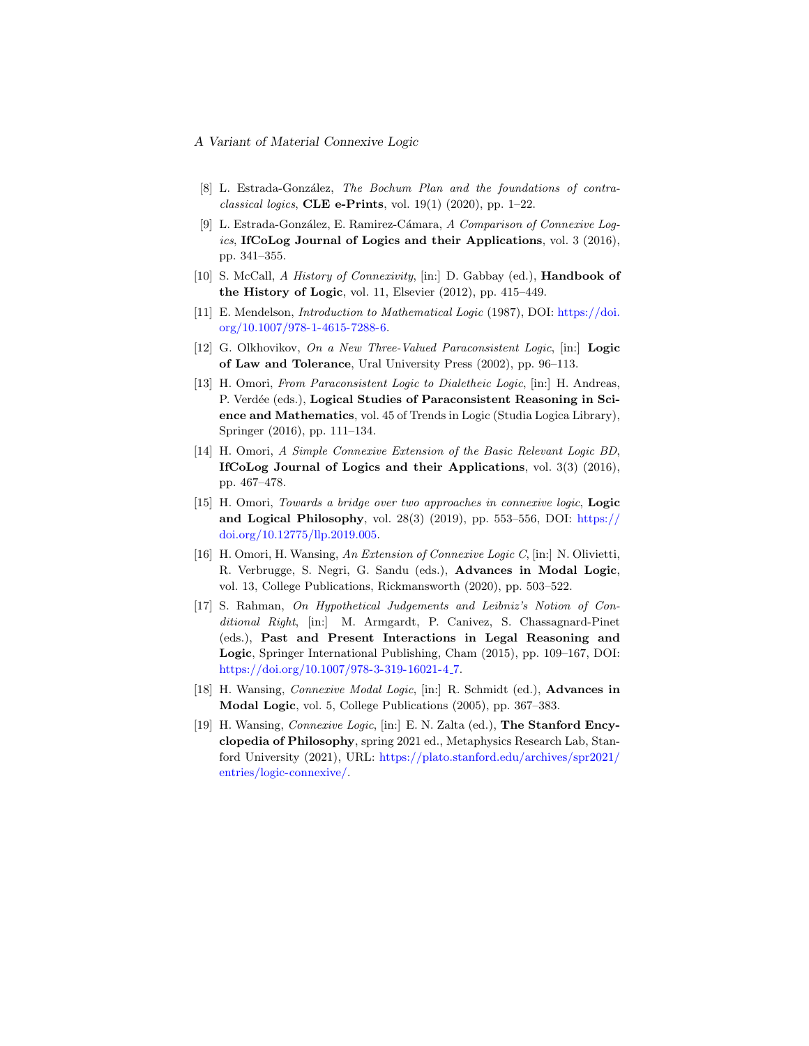- <span id="page-14-0"></span>[8] L. Estrada-González, The Bochum Plan and the foundations of contraclassical logics, CLE e-Prints, vol.  $19(1)$  (2020), pp. 1–22.
- <span id="page-14-10"></span>[9] L. Estrada-González, E. Ramirez-Cámara, A Comparison of Connexive Logics, IfCoLog Journal of Logics and their Applications, vol.  $3(2016)$ , pp. 341–355.
- <span id="page-14-7"></span>[10] S. McCall, A History of Connexivity, [in:] D. Gabbay (ed.), Handbook of the History of Logic, vol. 11, Elsevier (2012), pp. 415–449.
- <span id="page-14-11"></span>[11] E. Mendelson, Introduction to Mathematical Logic (1987), DOI: [https://doi.](https://doi.org/10.1007/978-1-4615-7288-6) [org/10.1007/978-1-4615-7288-6.](https://doi.org/10.1007/978-1-4615-7288-6)
- <span id="page-14-6"></span>[12] G. Olkhovikov, On a New Three-Valued Paraconsistent Logic, [in:] Logic of Law and Tolerance, Ural University Press (2002), pp. 96–113.
- <span id="page-14-4"></span>[13] H. Omori, From Paraconsistent Logic to Dialetheic Logic, [in:] H. Andreas, P. Verdée (eds.), Logical Studies of Paraconsistent Reasoning in Science and Mathematics, vol. 45 of Trends in Logic (Studia Logica Library), Springer (2016), pp. 111–134.
- <span id="page-14-5"></span>[14] H. Omori, A Simple Connexive Extension of the Basic Relevant Logic BD, IfCoLog Journal of Logics and their Applications, vol. 3(3) (2016), pp. 467–478.
- <span id="page-14-9"></span>[15] H. Omori, Towards a bridge over two approaches in connexive logic, Logic and Logical Philosophy, vol.  $28(3)$  (2019), pp. 553–556, DOI: [https://](https://doi.org/10.12775/llp.2019.005) [doi.org/10.12775/llp.2019.005.](https://doi.org/10.12775/llp.2019.005)
- <span id="page-14-3"></span>[16] H. Omori, H. Wansing, An Extension of Connexive Logic C, [in:] N. Olivietti, R. Verbrugge, S. Negri, G. Sandu (eds.), Advances in Modal Logic, vol. 13, College Publications, Rickmansworth (2020), pp. 503–522.
- <span id="page-14-8"></span>[17] S. Rahman, On Hypothetical Judgements and Leibniz's Notion of Conditional Right, [in:] M. Armgardt, P. Canivez, S. Chassagnard-Pinet (eds.), Past and Present Interactions in Legal Reasoning and Logic, Springer International Publishing, Cham (2015), pp. 109–167, DOI: [https://doi.org/10.1007/978-3-319-16021-4](https://doi.org/10.1007/978-3-319-16021-4_7).7.
- <span id="page-14-1"></span>[18] H. Wansing, Connexive Modal Logic, [in:] R. Schmidt (ed.), Advances in Modal Logic, vol. 5, College Publications (2005), pp. 367–383.
- <span id="page-14-2"></span>[19] H. Wansing, Connexive Logic, [in:] E. N. Zalta (ed.), The Stanford Encyclopedia of Philosophy, spring 2021 ed., Metaphysics Research Lab, Stanford University (2021), URL: [https://plato.stanford.edu/archives/spr2021/](https://plato.stanford.edu/archives/spr2021/entries/logic-connexive/) [entries/logic-connexive/.](https://plato.stanford.edu/archives/spr2021/entries/logic-connexive/)